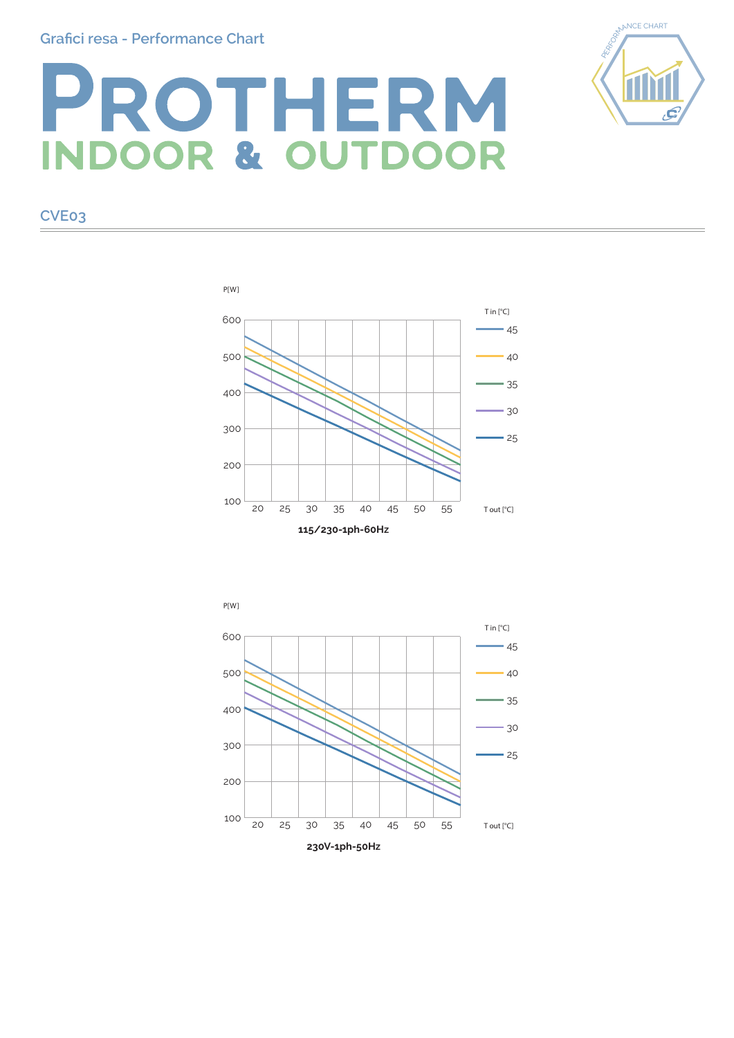## **Grafici resa - Performance Chart**

## PROTHERM **DOOR & OUTDOOR**

**CVE03**

## 100 200 300 400 500 600  $-45$  $-40$ 35 30  $-25$ 20 25 30 35 40 45 50 55 P[W] T out [°C] T in [°C]

**115/230-1ph-60Hz**



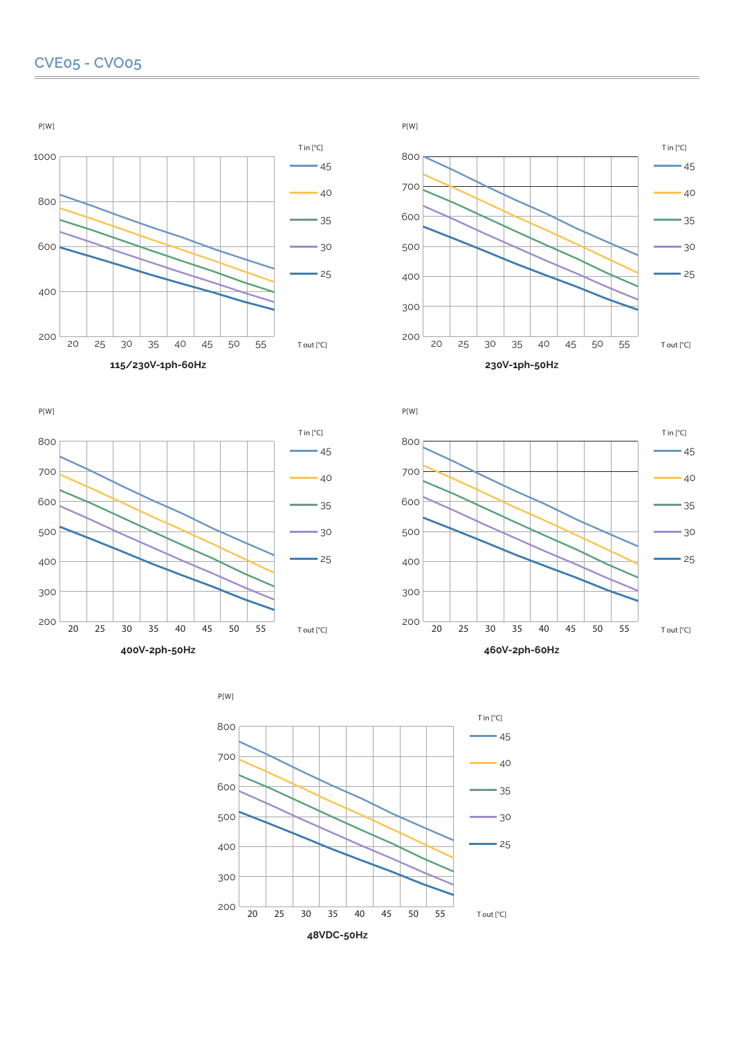



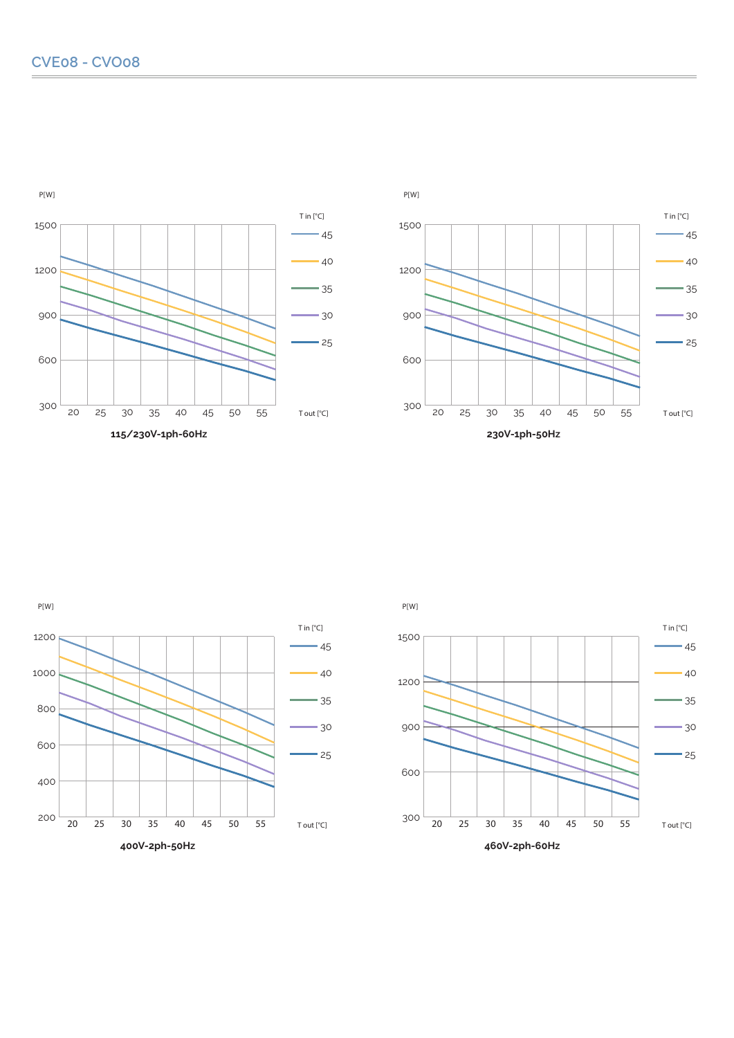



**115/230V-1ph-60Hz**









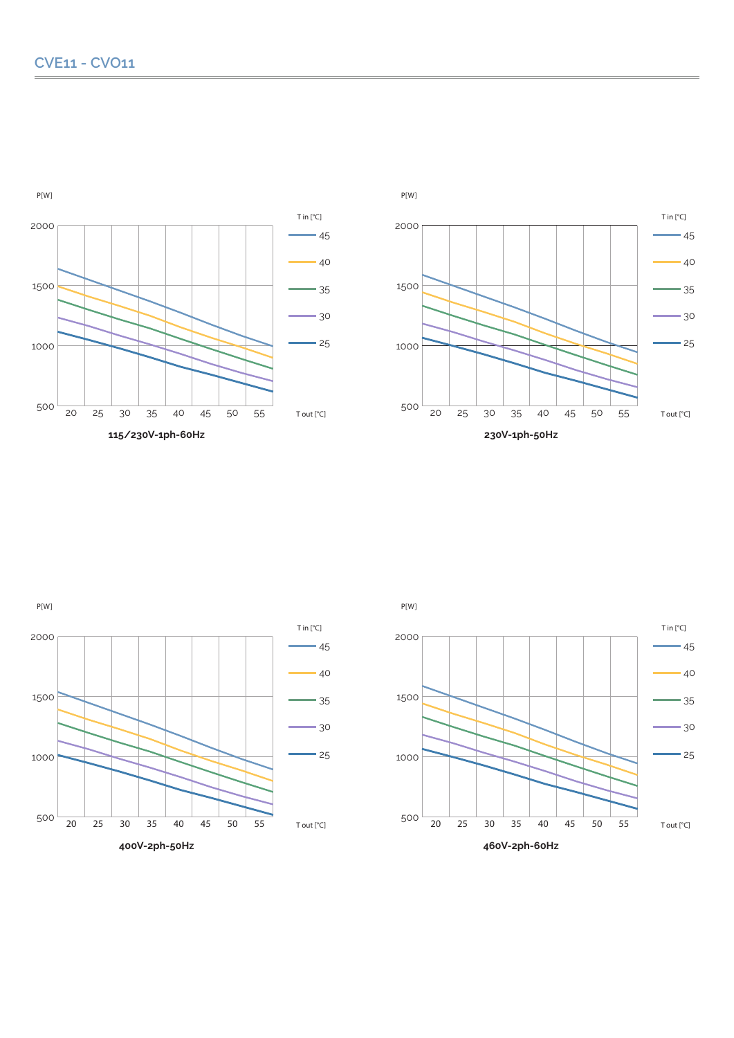P[W]









P[W]

**115/230V-1ph-60Hz**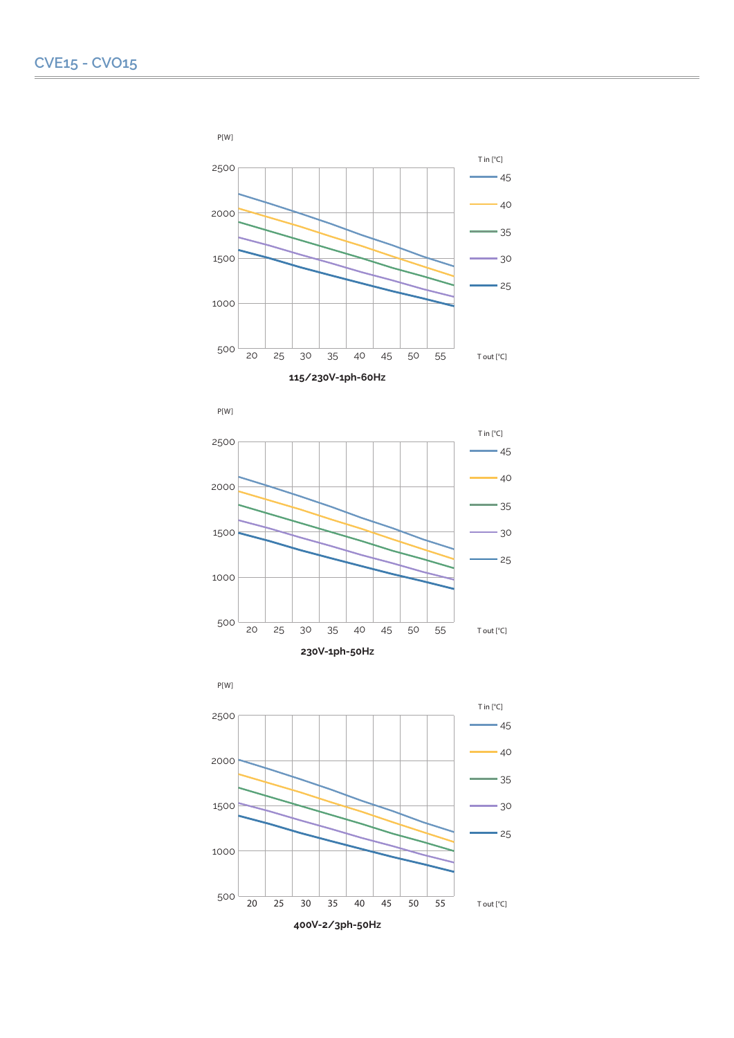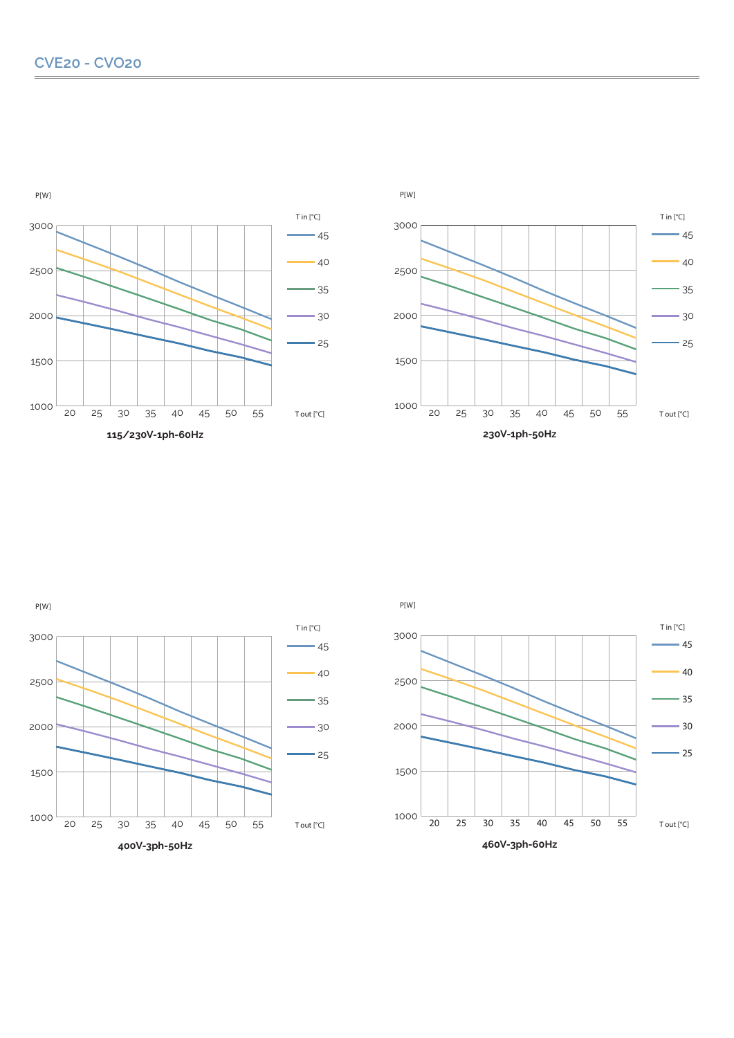





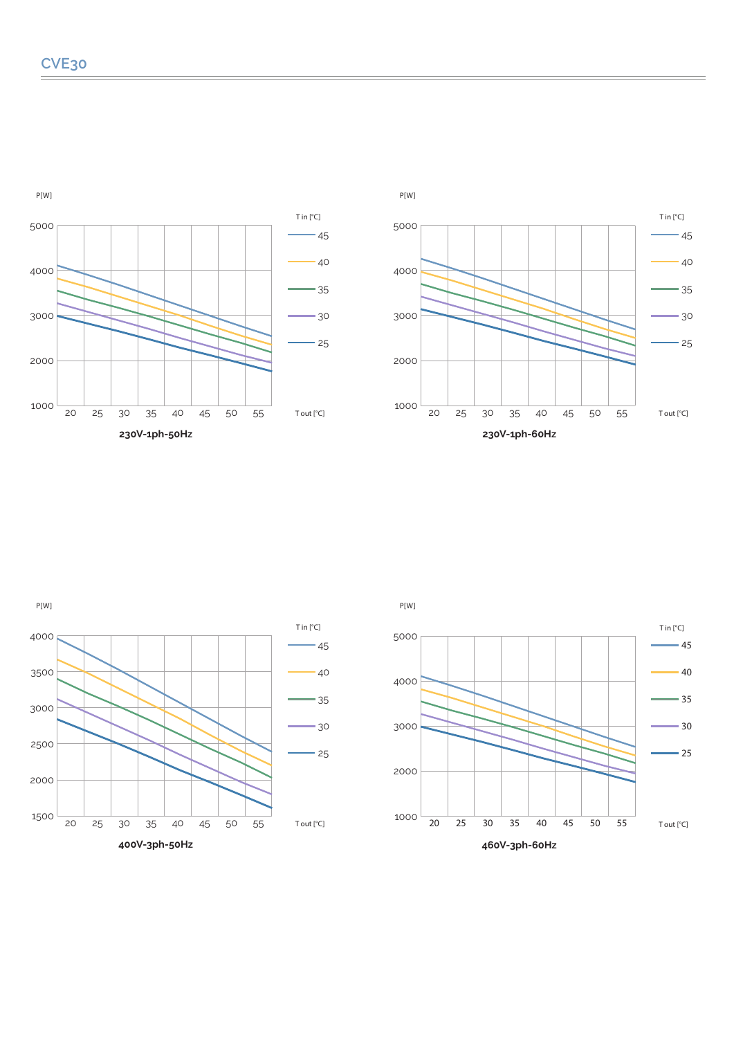







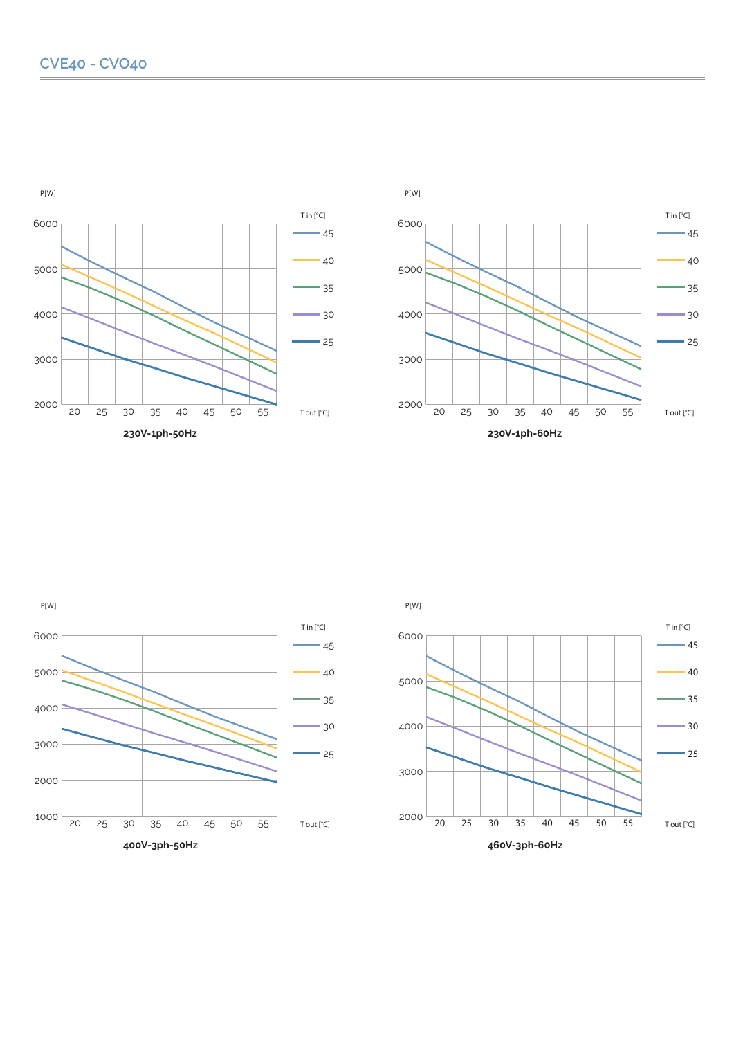P[W]





 $-45$ 

T in [°C]

 $-40$ 

 $-35$ 

 $-30$ 

 $-25$ 

T out [°C]



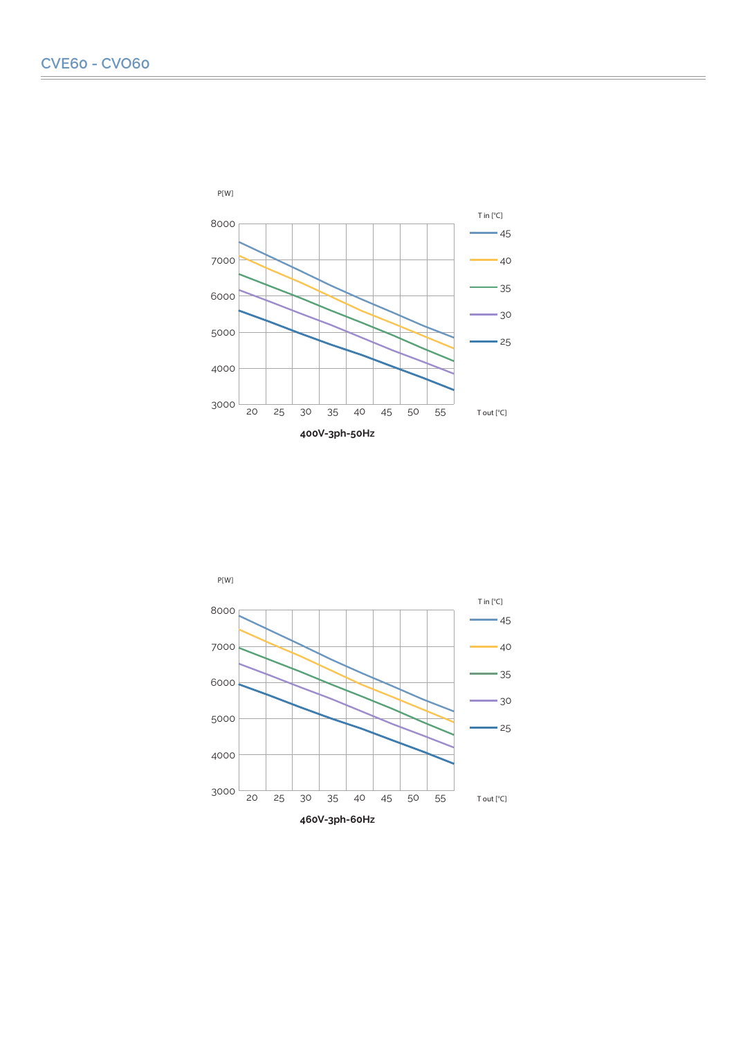

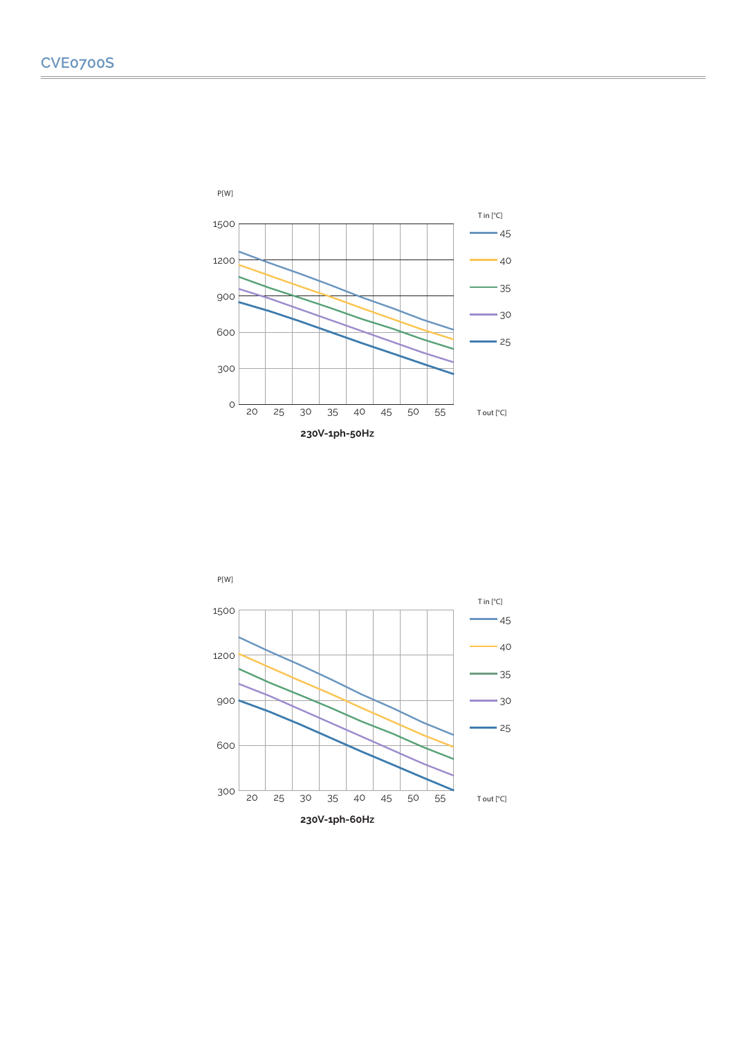